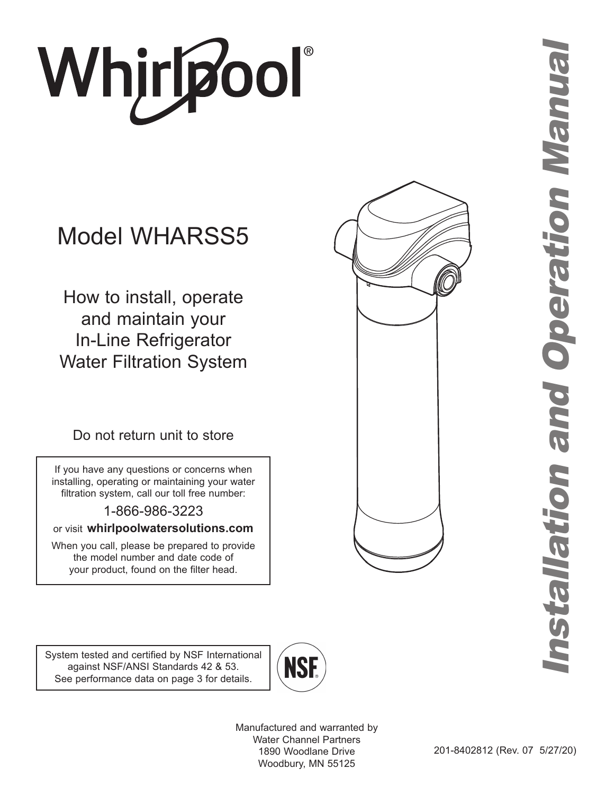# Whjr**ipool**®

# Model WHARSS5

How to install, operate and maintain your In-Line Refrigerator Water Filtration System

Do not return unit to store

If you have any questions or concerns when installing, operating or maintaining your water filtration system, call our toll free number:

1-866-986-3223

or visit **whirlpoolwatersolutions.com**

When you call, please be prepared to provide the model number and date code of your product, found on the filter head.



System tested and certified by NSF International against NSF/ANSI Standards 42 & 53. See performance data on page 3 for details.



Manufactured and warranted by Water Channel Partners 1890 Woodlane Drive Woodbury, MN 55125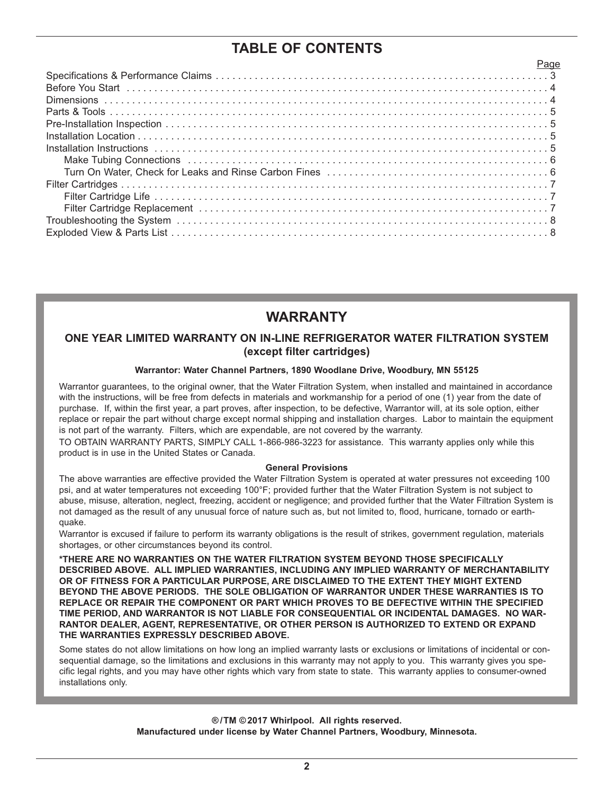# **TABLE OF CONTENTS**

# **WARRANTY**

### **ONE YEAR LIMITED WARRANTY ON IN-LINE REFRIGERATOR WATER FILTRATION SYSTEM (except filter cartridges)**

### **Warrantor: Water Channel Partners, 1890 Woodlane Drive, Woodbury, MN 55125**

Warrantor guarantees, to the original owner, that the Water Filtration System, when installed and maintained in accordance with the instructions, will be free from defects in materials and workmanship for a period of one (1) year from the date of purchase. If, within the first year, a part proves, after inspection, to be defective, Warrantor will, at its sole option, either replace or repair the part without charge except normal shipping and installation charges. Labor to maintain the equipment is not part of the warranty. Filters, which are expendable, are not covered by the warranty.

TO OBTAIN WARRANTY PARTS, SIMPLY CALL 1-866-986-3223 for assistance. This warranty applies only while this product is in use in the United States or Canada.

### **General Provisions**

The above warranties are effective provided the Water Filtration System is operated at water pressures not exceeding 100 psi, and at water temperatures not exceeding 100°F; provided further that the Water Filtration System is not subject to abuse, misuse, alteration, neglect, freezing, accident or negligence; and provided further that the Water Filtration System is not damaged as the result of any unusual force of nature such as, but not limited to, flood, hurricane, tornado or earthquake.

Warrantor is excused if failure to perform its warranty obligations is the result of strikes, government regulation, materials shortages, or other circumstances beyond its control.

**\*THERE ARE NO WARRANTIES ON THE WATER FILTRATION SYSTEM BEYOND THOSE SPECIFICALLY DESCRIBED ABOVE. ALL IMPLIED WARRANTIES, INCLUDING ANY IMPLIED WARRANTY OF MERCHANTABILITY OR OF FITNESS FOR A PARTICULAR PURPOSE, ARE DISCLAIMED TO THE EXTENT THEY MIGHT EXTEND BEYOND THE ABOVE PERIODS. THE SOLE OBLIGATION OF WARRANTOR UNDER THESE WARRANTIES IS TO REPLACE OR REPAIR THE COMPONENT OR PART WHICH PROVES TO BE DEFECTIVE WITHIN THE SPECIFIED TIME PERIOD, AND WARRANTOR IS NOT LIABLE FOR CONSEQUENTIAL OR INCIDENTAL DAMAGES. NO WAR-RANTOR DEALER, AGENT, REPRESENTATIVE, OR OTHER PERSON IS AUTHORIZED TO EXTEND OR EXPAND THE WARRANTIES EXPRESSLY DESCRIBED ABOVE.**

Some states do not allow limitations on how long an implied warranty lasts or exclusions or limitations of incidental or consequential damage, so the limitations and exclusions in this warranty may not apply to you. This warranty gives you specific legal rights, and you may have other rights which vary from state to state. This warranty applies to consumer-owned installations only.

> **® /TM © 2017 Whirlpool. All rights reserved. Manufactured under license by Water Channel Partners, Woodbury, Minnesota.**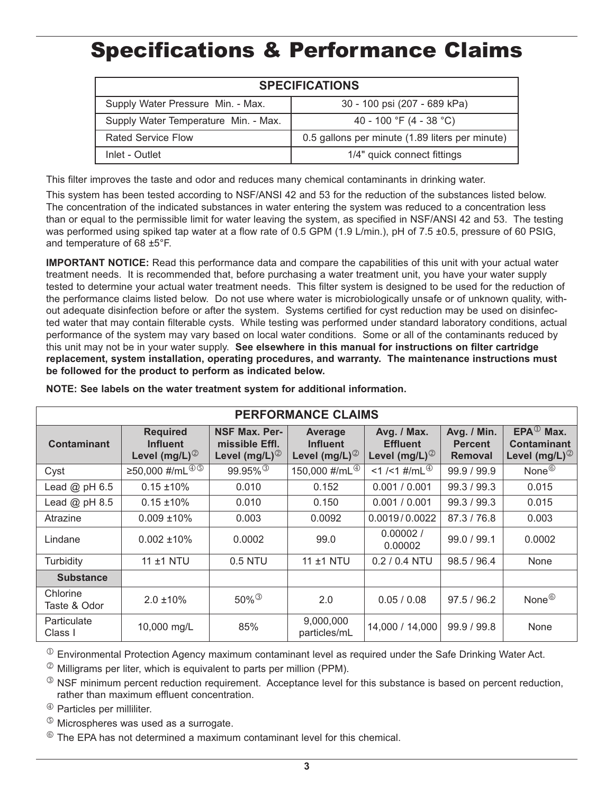# Specifications & Performance Claims

| <b>SPECIFICATIONS</b>                |                                                 |  |  |  |
|--------------------------------------|-------------------------------------------------|--|--|--|
| Supply Water Pressure Min. - Max.    | 30 - 100 psi (207 - 689 kPa)                    |  |  |  |
| Supply Water Temperature Min. - Max. | 40 - 100 °F (4 - 38 °C)                         |  |  |  |
| <b>Rated Service Flow</b>            | 0.5 gallons per minute (1.89 liters per minute) |  |  |  |
| Inlet - Outlet                       | 1/4" quick connect fittings                     |  |  |  |

This filter improves the taste and odor and reduces many chemical contaminants in drinking water.

This system has been tested according to NSF/ANSI 42 and 53 for the reduction of the substances listed below. The concentration of the indicated substances in water entering the system was reduced to a concentration less than or equal to the permissible limit for water leaving the system, as specified in NSF/ANSI 42 and 53. The testing was performed using spiked tap water at a flow rate of 0.5 GPM (1.9 L/min.), pH of 7.5 ±0.5, pressure of 60 PSIG, and temperature of 68 ±5°F.

**IMPORTANT NOTICE:** Read this performance data and compare the capabilities of this unit with your actual water treatment needs. It is recommended that, before purchasing a water treatment unit, you have your water supply tested to determine your actual water treatment needs. This filter system is designed to be used for the reduction of the performance claims listed below. Do not use where water is microbiologically unsafe or of unknown quality, without adequate disinfection before or after the system. Systems certified for cyst reduction may be used on disinfected water that may contain filterable cysts. While testing was performed under standard laboratory conditions, actual performance of the system may vary based on local water conditions. Some or all of the contaminants reduced by this unit may not be in your water supply. **See elsewhere in this manual for instructions on filter cartridge replacement, system installation, operating procedures, and warranty. The maintenance instructions must be followed for the product to perform as indicated below.**

| <b>PERFORMANCE CLAIMS</b> |                                                                   |                                                                       |                                                                  |                                                               |                                                 |                                                                                      |  |  |
|---------------------------|-------------------------------------------------------------------|-----------------------------------------------------------------------|------------------------------------------------------------------|---------------------------------------------------------------|-------------------------------------------------|--------------------------------------------------------------------------------------|--|--|
| Contaminant               | <b>Required</b><br><b>Influent</b><br>Level (mg/L) $^{\circledR}$ | <b>NSF Max. Per-</b><br>missible Effl.<br>Level (mg/L) $^{\circledR}$ | <b>Average</b><br><b>Influent</b><br>Level (mg/L) $^{\circledR}$ | Avg. / Max.<br><b>Effluent</b><br>Level (mg/L) $^{\circledR}$ | Avg. / Min.<br><b>Percent</b><br><b>Removal</b> | $EPA^{\textcircled{1}}$ Max.<br><b>Contaminant</b><br>Level (mg/L) $^{\circledcirc}$ |  |  |
| Cyst                      | ≥50,000 #/mL $\overline{^{@}\circ}$                               | $99.95\%$ <sup>3</sup>                                                | 150,000 #/mL4                                                    | <1 /<1 #/mL <sup>4</sup>                                      | 99.9 / 99.9                                     | None <sup><sup>6</sup></sup>                                                         |  |  |
| Lead $@$ pH $6.5$         | $0.15 \pm 10\%$                                                   | 0.010                                                                 | 0.152                                                            | 0.001 / 0.001                                                 | 99.3 / 99.3                                     | 0.015                                                                                |  |  |
| Lead $@$ pH 8.5           | $0.15 \pm 10\%$                                                   | 0.010                                                                 | 0.150                                                            | 0.001 / 0.001                                                 | 99.3 / 99.3                                     | 0.015                                                                                |  |  |
| Atrazine                  | $0.009 \pm 10\%$                                                  | 0.003                                                                 | 0.0092                                                           | 0.0019/0.0022                                                 | 87.3 / 76.8                                     | 0.003                                                                                |  |  |
| Lindane                   | $0.002 \pm 10\%$                                                  | 0.0002                                                                | 99.0                                                             | 0.00002/<br>0.00002                                           | 99.0 / 99.1                                     | 0.0002                                                                               |  |  |
| Turbidity                 | 11 ±1 NTU                                                         | 0.5 NTU                                                               | 11 ±1 NTU                                                        | $0.2 / 0.4$ NTU                                               | 98.5 / 96.4                                     | None                                                                                 |  |  |
| <b>Substance</b>          |                                                                   |                                                                       |                                                                  |                                                               |                                                 |                                                                                      |  |  |
| Chlorine<br>Taste & Odor  | $2.0 \pm 10\%$                                                    | $50\%$ <sup>3</sup>                                                   | 2.0                                                              | 0.05/0.08                                                     | 97.5/96.2                                       | None <sup><sup>6</sup></sup>                                                         |  |  |
| Particulate<br>Class I    | 10,000 mg/L                                                       | 85%                                                                   | 9,000,000<br>particles/mL                                        | 14,000 / 14,000                                               | 99.9 / 99.8                                     | None                                                                                 |  |  |

**NOTE: See labels on the water treatment system for additional information.**

 $\Phi$  Environmental Protection Agency maximum contaminant level as required under the Safe Drinking Water Act.

 $\textdegree$  Milligrams per liter, which is equivalent to parts per million (PPM).

 $\degree$  NSF minimum percent reduction requirement. Acceptance level for this substance is based on percent reduction, rather than maximum effluent concentration.

<sup>4</sup> Particles per milliliter.

 $\textcircled{\tiny{\textcirc}}$  Microspheres was used as a surrogate.

 $\bullet$  The FPA has not determined a maximum contaminant level for this chemical.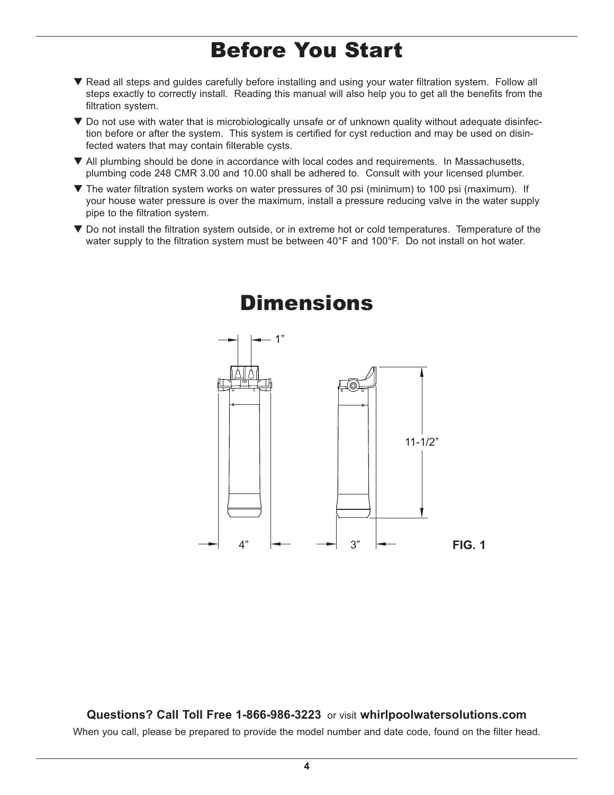# Before You Start

- ▼ Read all steps and guides carefully before installing and using your water filtration system. Follow all steps exactly to correctly install. Reading this manual will also help you to get all the benefits from the filtration system.
- $\blacktriangledown$  Do not use with water that is microbiologically unsafe or of unknown quality without adequate disinfection before or after the system. This system is certified for cyst reduction and may be used on disinfected waters that may contain filterable cysts.
- $\blacktriangledown$  All plumbing should be done in accordance with local codes and requirements. In Massachusetts, plumbing code 248 CMR 3.00 and 10.00 shall be adhered to. Consult with your licensed plumber.
- $\blacktriangledown$  The water filtration system works on water pressures of 30 psi (minimum) to 100 psi (maximum). If your house water pressure is over the maximum, install a pressure reducing valve in the water supply pipe to the filtration system.
- $\blacktriangledown$  Do not install the filtration system outside, or in extreme hot or cold temperatures. Temperature of the water supply to the filtration system must be between 40°F and 100°F. Do not install on hot water.



**Questions? Call Toll Free 1-866-986-3223** or visit **whirlpoolwatersolutions.com** When you call, please be prepared to provide the model number and date code, found on the filter head.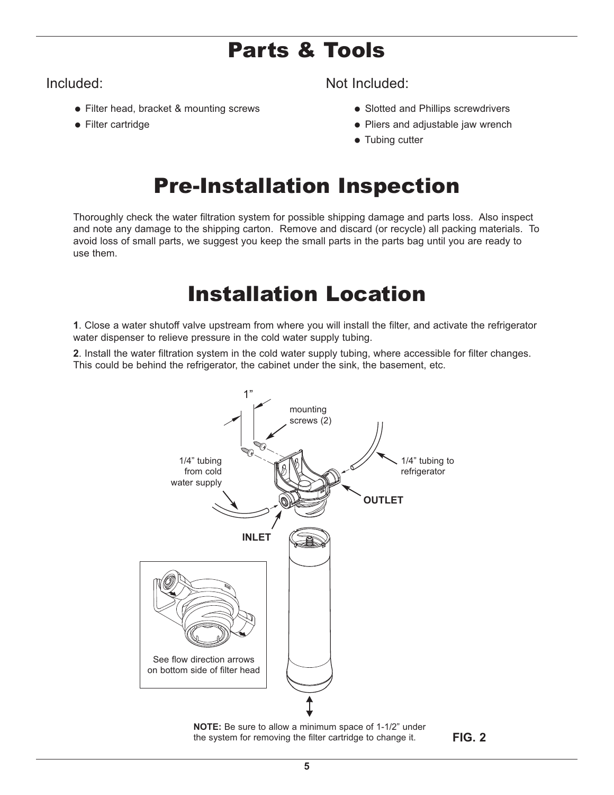# Parts & Tools

• Filter head, bracket & mounting screws

• Filter cartridge

Included: Not Included:

- Slotted and Phillips screwdrivers
- Pliers and adjustable jaw wrench
- $\bullet$  Tubing cutter

# Pre-Installation Inspection

Thoroughly check the water filtration system for possible shipping damage and parts loss. Also inspect and note any damage to the shipping carton. Remove and discard (or recycle) all packing materials. To avoid loss of small parts, we suggest you keep the small parts in the parts bag until you are ready to use them.

# Installation Location

**1**. Close a water shutoff valve upstream from where you will install the filter, and activate the refrigerator water dispenser to relieve pressure in the cold water supply tubing.

**2**. Install the water filtration system in the cold water supply tubing, where accessible for filter changes. This could be behind the refrigerator, the cabinet under the sink, the basement, etc.



**NOTE:** Be sure to allow a minimum space of 1-1/2" under the system for removing the filter cartridge to change it.

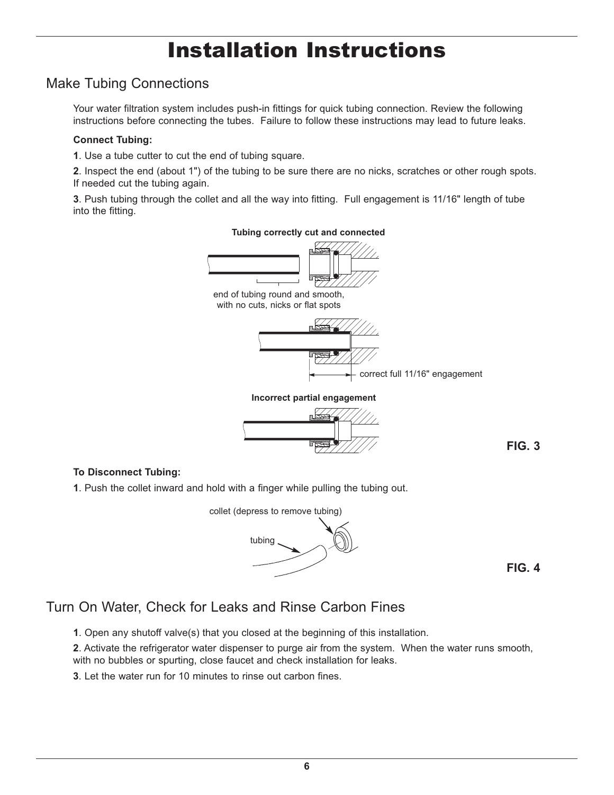# Installation Instructions

# Make Tubing Connections

Your water filtration system includes push-in fittings for quick tubing connection. Review the following instructions before connecting the tubes. Failure to follow these instructions may lead to future leaks.

### **Connect Tubing:**

**1**. Use a tube cutter to cut the end of tubing square.

**2**. Inspect the end (about 1") of the tubing to be sure there are no nicks, scratches or other rough spots. If needed cut the tubing again.

**3**. Push tubing through the collet and all the way into fitting. Full engagement is 11/16" length of tube into the fitting.



**FIG. 3**

### **To Disconnect Tubing:**

**1**. Push the collet inward and hold with a finger while pulling the tubing out.



**FIG. 4**

# Turn On Water, Check for Leaks and Rinse Carbon Fines

**1**. Open any shutoff valve(s) that you closed at the beginning of this installation.

**2**. Activate the refrigerator water dispenser to purge air from the system. When the water runs smooth, with no bubbles or spurting, close faucet and check installation for leaks.

**3**. Let the water run for 10 minutes to rinse out carbon fines.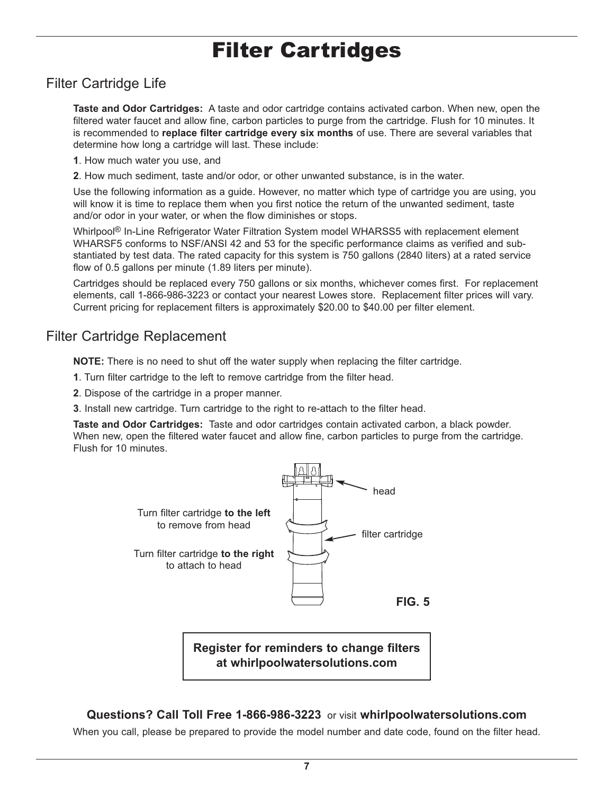# Filter Cartridges

# Filter Cartridge Life

**Taste and Odor Cartridges:** A taste and odor cartridge contains activated carbon. When new, open the filtered water faucet and allow fine, carbon particles to purge from the cartridge. Flush for 10 minutes. It is recommended to **replace filter cartridge every six months** of use. There are several variables that determine how long a cartridge will last. These include:

- **1**. How much water you use, and
- **2**. How much sediment, taste and/or odor, or other unwanted substance, is in the water.

Use the following information as a guide. However, no matter which type of cartridge you are using, you will know it is time to replace them when you first notice the return of the unwanted sediment, taste and/or odor in your water, or when the flow diminishes or stops.

Whirlpool<sup>®</sup> In-Line Refrigerator Water Filtration System model WHARSS5 with replacement element WHARSF5 conforms to NSF/ANSI 42 and 53 for the specific performance claims as verified and substantiated by test data. The rated capacity for this system is 750 gallons (2840 liters) at a rated service flow of 0.5 gallons per minute (1.89 liters per minute).

Cartridges should be replaced every 750 gallons or six months, whichever comes first. For replacement elements, call 1-866-986-3223 or contact your nearest Lowes store. Replacement filter prices will vary. Current pricing for replacement filters is approximately \$20.00 to \$40.00 per filter element.

### Filter Cartridge Replacement

**NOTE:** There is no need to shut off the water supply when replacing the filter cartridge.

- **1**. Turn filter cartridge to the left to remove cartridge from the filter head.
- **2**. Dispose of the cartridge in a proper manner.
- **3**. Install new cartridge. Turn cartridge to the right to re-attach to the filter head.

**Taste and Odor Cartridges:** Taste and odor cartridges contain activated carbon, a black powder. When new, open the filtered water faucet and allow fine, carbon particles to purge from the cartridge. Flush for 10 minutes.



**Register for reminders to change filters at whirlpoolwatersolutions.com**

### **Questions? Call Toll Free 1-866-986-3223** or visit **whirlpoolwatersolutions.com**

When you call, please be prepared to provide the model number and date code, found on the filter head.